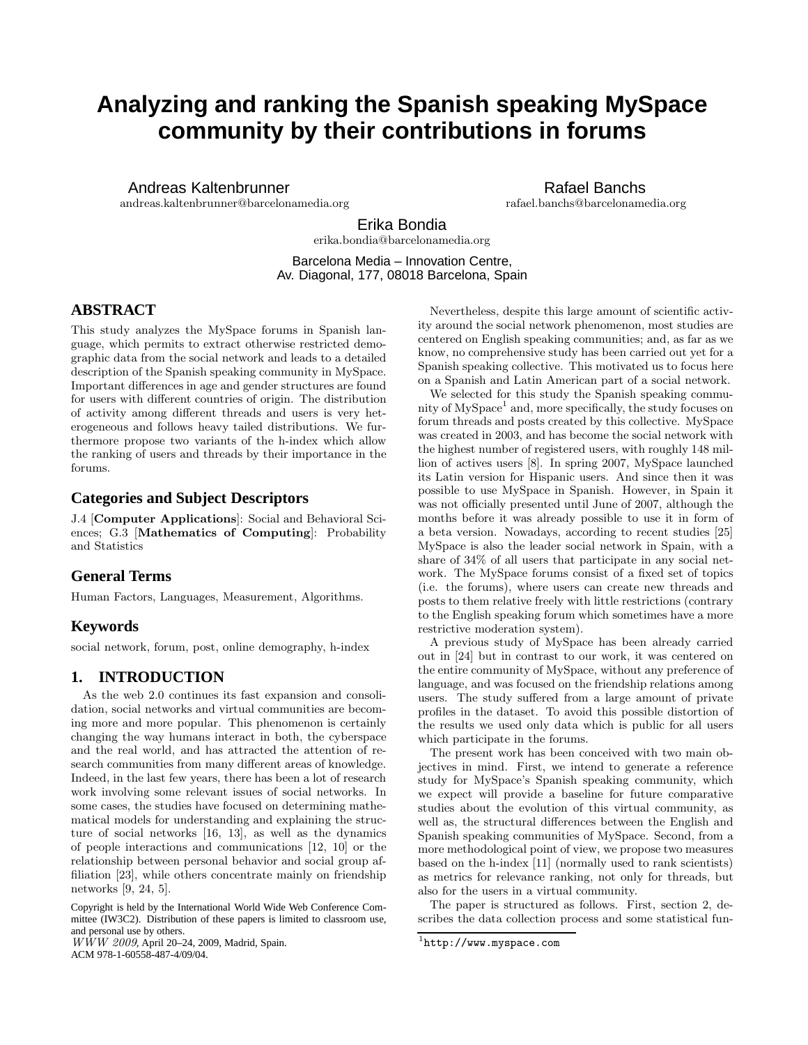# **Analyzing and ranking the Spanish speaking MySpace community by their contributions in forums**

Andreas Kaltenbrunner

andreas.kaltenbrunner@barcelonamedia.org

Rafael Banchs rafael.banchs@barcelonamedia.org

Erika Bondia erika.bondia@barcelonamedia.org

Barcelona Media – Innovation Centre, Av. Diagonal, 177, 08018 Barcelona, Spain

# **ABSTRACT**

This study analyzes the MySpace forums in Spanish language, which permits to extract otherwise restricted demographic data from the social network and leads to a detailed description of the Spanish speaking community in MySpace. Important differences in age and gender structures are found for users with different countries of origin. The distribution of activity among different threads and users is very heterogeneous and follows heavy tailed distributions. We furthermore propose two variants of the h-index which allow the ranking of users and threads by their importance in the forums.

# **Categories and Subject Descriptors**

J.4 [Computer Applications]: Social and Behavioral Sciences; G.3 [Mathematics of Computing]: Probability and Statistics

# **General Terms**

Human Factors, Languages, Measurement, Algorithms.

# **Keywords**

social network, forum, post, online demography, h-index

# **1. INTRODUCTION**

As the web 2.0 continues its fast expansion and consolidation, social networks and virtual communities are becoming more and more popular. This phenomenon is certainly changing the way humans interact in both, the cyberspace and the real world, and has attracted the attention of research communities from many different areas of knowledge. Indeed, in the last few years, there has been a lot of research work involving some relevant issues of social networks. In some cases, the studies have focused on determining mathematical models for understanding and explaining the structure of social networks [16, 13], as well as the dynamics of people interactions and communications [12, 10] or the relationship between personal behavior and social group affiliation [23], while others concentrate mainly on friendship networks [9, 24, 5].

Copyright is held by the International World Wide Web Conference Committee (IW3C2). Distribution of these papers is limited to classroom use, and personal use by others.

*WWW 2009*, April 20–24, 2009, Madrid, Spain. ACM 978-1-60558-487-4/09/04.

Nevertheless, despite this large amount of scientific activity around the social network phenomenon, most studies are centered on English speaking communities; and, as far as we know, no comprehensive study has been carried out yet for a Spanish speaking collective. This motivated us to focus here on a Spanish and Latin American part of a social network.

We selected for this study the Spanish speaking community of MySpace<sup>1</sup> and, more specifically, the study focuses on forum threads and posts created by this collective. MySpace was created in 2003, and has become the social network with the highest number of registered users, with roughly 148 million of actives users [8]. In spring 2007, MySpace launched its Latin version for Hispanic users. And since then it was possible to use MySpace in Spanish. However, in Spain it was not officially presented until June of 2007, although the months before it was already possible to use it in form of a beta version. Nowadays, according to recent studies [25] MySpace is also the leader social network in Spain, with a share of 34% of all users that participate in any social network. The MySpace forums consist of a fixed set of topics (i.e. the forums), where users can create new threads and posts to them relative freely with little restrictions (contrary to the English speaking forum which sometimes have a more restrictive moderation system).

A previous study of MySpace has been already carried out in [24] but in contrast to our work, it was centered on the entire community of MySpace, without any preference of language, and was focused on the friendship relations among users. The study suffered from a large amount of private profiles in the dataset. To avoid this possible distortion of the results we used only data which is public for all users which participate in the forums.

The present work has been conceived with two main objectives in mind. First, we intend to generate a reference study for MySpace's Spanish speaking community, which we expect will provide a baseline for future comparative studies about the evolution of this virtual community, as well as, the structural differences between the English and Spanish speaking communities of MySpace. Second, from a more methodological point of view, we propose two measures based on the h-index [11] (normally used to rank scientists) as metrics for relevance ranking, not only for threads, but also for the users in a virtual community.

The paper is structured as follows. First, section 2, describes the data collection process and some statistical fun-

 $1$ http://www.myspace.com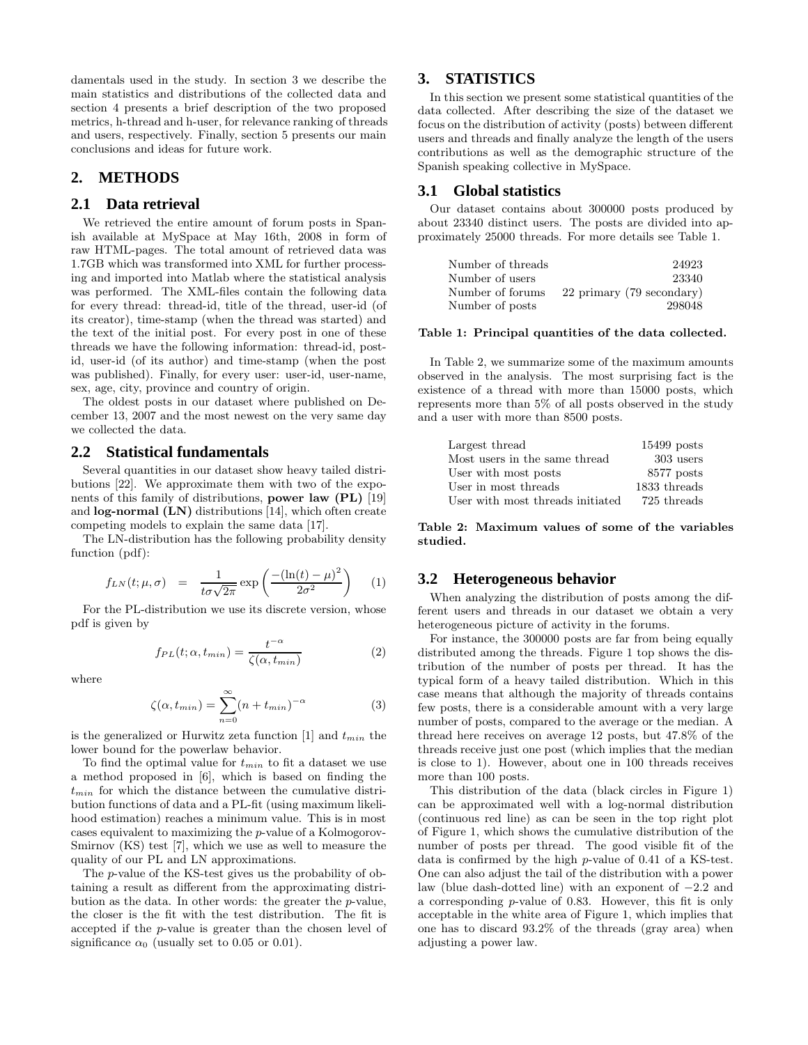damentals used in the study. In section 3 we describe the main statistics and distributions of the collected data and section 4 presents a brief description of the two proposed metrics, h-thread and h-user, for relevance ranking of threads and users, respectively. Finally, section 5 presents our main conclusions and ideas for future work.

# **2. METHODS**

#### **2.1 Data retrieval**

We retrieved the entire amount of forum posts in Spanish available at MySpace at May 16th, 2008 in form of raw HTML-pages. The total amount of retrieved data was 1.7GB which was transformed into XML for further processing and imported into Matlab where the statistical analysis was performed. The XML-files contain the following data for every thread: thread-id, title of the thread, user-id (of its creator), time-stamp (when the thread was started) and the text of the initial post. For every post in one of these threads we have the following information: thread-id, postid, user-id (of its author) and time-stamp (when the post was published). Finally, for every user: user-id, user-name, sex, age, city, province and country of origin.

The oldest posts in our dataset where published on December 13, 2007 and the most newest on the very same day we collected the data.

#### **2.2 Statistical fundamentals**

Several quantities in our dataset show heavy tailed distributions [22]. We approximate them with two of the exponents of this family of distributions, power law (PL) [19] and log-normal (LN) distributions [14], which often create competing models to explain the same data [17].

The LN-distribution has the following probability density function (pdf):

$$
f_{LN}(t; \mu, \sigma) = \frac{1}{t\sigma\sqrt{2\pi}} \exp\left(\frac{-(\ln(t) - \mu)^2}{2\sigma^2}\right) \quad (1)
$$

For the PL-distribution we use its discrete version, whose pdf is given by

$$
f_{PL}(t; \alpha, t_{min}) = \frac{t^{-\alpha}}{\zeta(\alpha, t_{min})}
$$
 (2)

where

$$
\zeta(\alpha, t_{min}) = \sum_{n=0}^{\infty} (n + t_{min})^{-\alpha}
$$
 (3)

is the generalized or Hurwitz zeta function [1] and  $t_{min}$  the lower bound for the powerlaw behavior.

To find the optimal value for  $t_{min}$  to fit a dataset we use a method proposed in [6], which is based on finding the  $t_{min}$  for which the distance between the cumulative distribution functions of data and a PL-fit (using maximum likelihood estimation) reaches a minimum value. This is in most cases equivalent to maximizing the p-value of a Kolmogorov-Smirnov (KS) test [7], which we use as well to measure the quality of our PL and LN approximations.

The p-value of the KS-test gives us the probability of obtaining a result as different from the approximating distribution as the data. In other words: the greater the p-value, the closer is the fit with the test distribution. The fit is accepted if the p-value is greater than the chosen level of significance  $\alpha_0$  (usually set to 0.05 or 0.01).

## **3. STATISTICS**

In this section we present some statistical quantities of the data collected. After describing the size of the dataset we focus on the distribution of activity (posts) between different users and threads and finally analyze the length of the users contributions as well as the demographic structure of the Spanish speaking collective in MySpace.

#### **3.1 Global statistics**

Our dataset contains about 300000 posts produced by about 23340 distinct users. The posts are divided into approximately 25000 threads. For more details see Table 1.

| Number of threads | 24923                     |
|-------------------|---------------------------|
| Number of users   | 23340                     |
| Number of forums  | 22 primary (79 secondary) |
| Number of posts   | 298048                    |

#### Table 1: Principal quantities of the data collected.

In Table 2, we summarize some of the maximum amounts observed in the analysis. The most surprising fact is the existence of a thread with more than 15000 posts, which represents more than 5% of all posts observed in the study and a user with more than 8500 posts.

| Largest thread                   | $15499$ posts |
|----------------------------------|---------------|
| Most users in the same thread    | 303 users     |
| User with most posts             | $8577$ posts  |
| User in most threads             | 1833 threads  |
| User with most threads initiated | 725 threads   |

Table 2: Maximum values of some of the variables studied.

### **3.2 Heterogeneous behavior**

When analyzing the distribution of posts among the different users and threads in our dataset we obtain a very heterogeneous picture of activity in the forums.

For instance, the 300000 posts are far from being equally distributed among the threads. Figure 1 top shows the distribution of the number of posts per thread. It has the typical form of a heavy tailed distribution. Which in this case means that although the majority of threads contains few posts, there is a considerable amount with a very large number of posts, compared to the average or the median. A thread here receives on average 12 posts, but 47.8% of the threads receive just one post (which implies that the median is close to 1). However, about one in 100 threads receives more than 100 posts.

This distribution of the data (black circles in Figure 1) can be approximated well with a log-normal distribution (continuous red line) as can be seen in the top right plot of Figure 1, which shows the cumulative distribution of the number of posts per thread. The good visible fit of the data is confirmed by the high p-value of 0.41 of a KS-test. One can also adjust the tail of the distribution with a power law (blue dash-dotted line) with an exponent of −2.2 and a corresponding p-value of 0.83. However, this fit is only acceptable in the white area of Figure 1, which implies that one has to discard 93.2% of the threads (gray area) when adjusting a power law.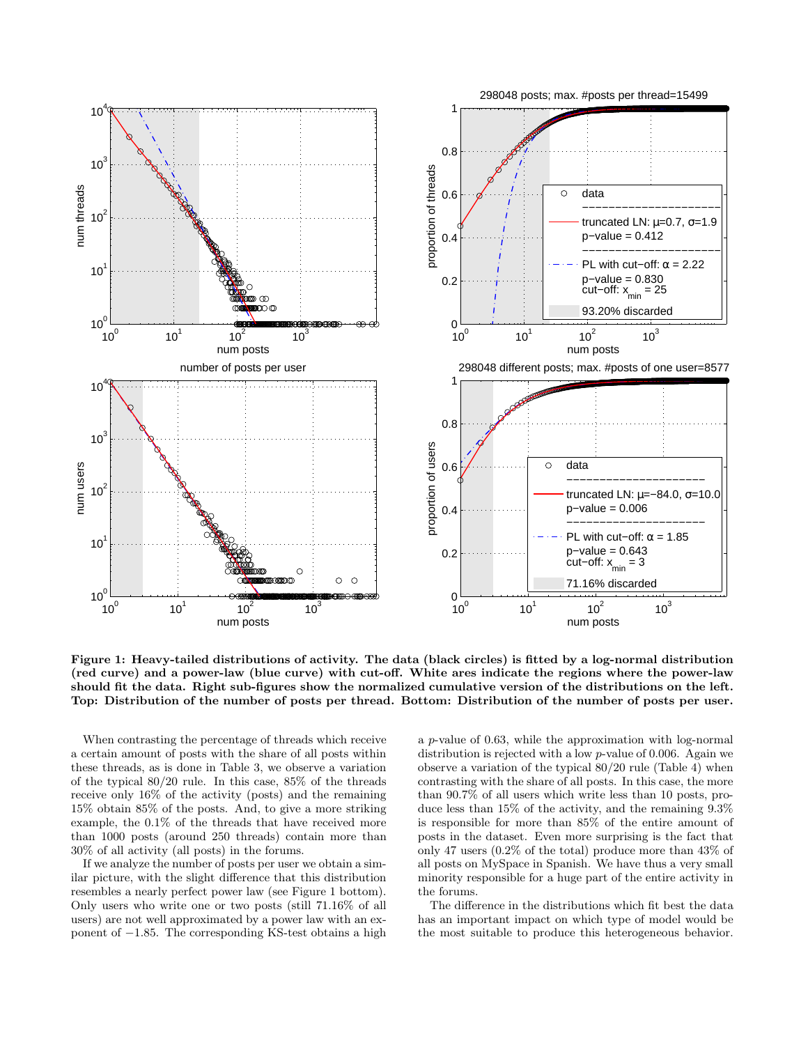

Figure 1: Heavy-tailed distributions of activity. The data (black circles) is fitted by a log-normal distribution (red curve) and a power-law (blue curve) with cut-off. White ares indicate the regions where the power-law should fit the data. Right sub-figures show the normalized cumulative version of the distributions on the left. Top: Distribution of the number of posts per thread. Bottom: Distribution of the number of posts per user.

When contrasting the percentage of threads which receive a certain amount of posts with the share of all posts within these threads, as is done in Table 3, we observe a variation of the typical 80/20 rule. In this case, 85% of the threads receive only 16% of the activity (posts) and the remaining 15% obtain 85% of the posts. And, to give a more striking example, the 0.1% of the threads that have received more than 1000 posts (around 250 threads) contain more than 30% of all activity (all posts) in the forums.

If we analyze the number of posts per user we obtain a similar picture, with the slight difference that this distribution resembles a nearly perfect power law (see Figure 1 bottom). Only users who write one or two posts (still 71.16% of all users) are not well approximated by a power law with an exponent of −1.85. The corresponding KS-test obtains a high

a p-value of 0.63, while the approximation with log-normal distribution is rejected with a low p-value of 0.006. Again we observe a variation of the typical 80/20 rule (Table 4) when contrasting with the share of all posts. In this case, the more than 90.7% of all users which write less than 10 posts, produce less than 15% of the activity, and the remaining 9.3% is responsible for more than 85% of the entire amount of posts in the dataset. Even more surprising is the fact that only 47 users (0.2% of the total) produce more than 43% of all posts on MySpace in Spanish. We have thus a very small minority responsible for a huge part of the entire activity in the forums.

The difference in the distributions which fit best the data has an important impact on which type of model would be the most suitable to produce this heterogeneous behavior.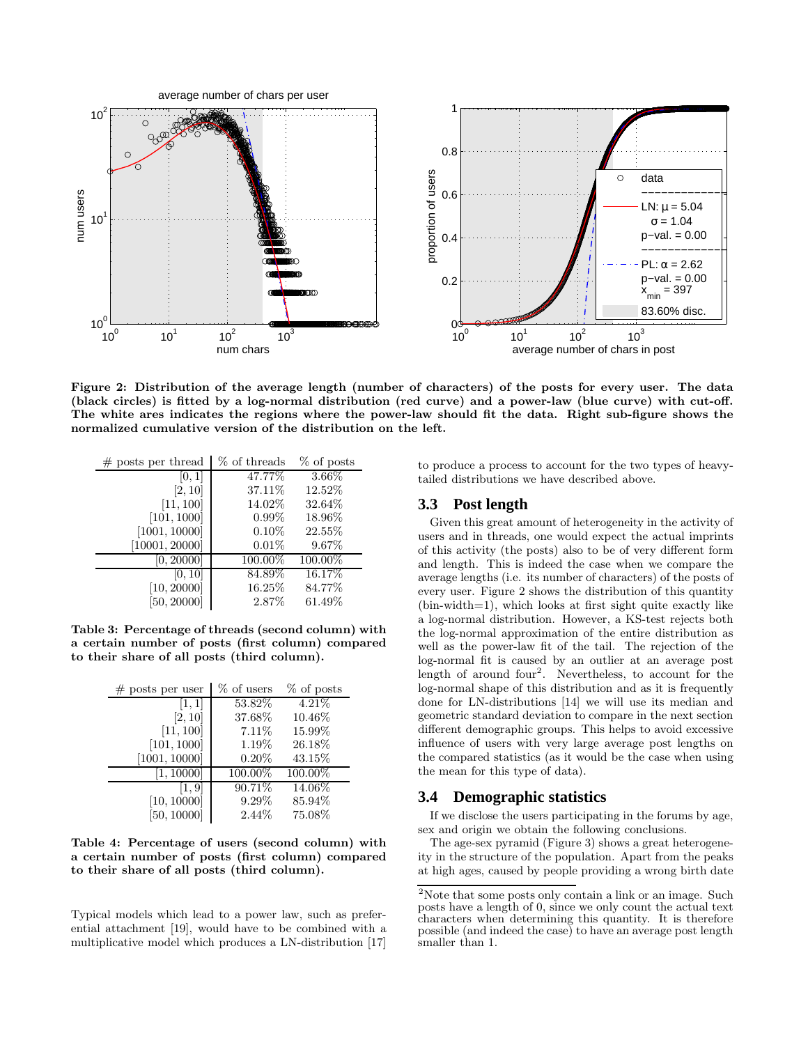

Figure 2: Distribution of the average length (number of characters) of the posts for every user. The data (black circles) is fitted by a log-normal distribution (red curve) and a power-law (blue curve) with cut-off. The white ares indicates the regions where the power-law should fit the data. Right sub-figure shows the normalized cumulative version of the distribution on the left.

| $#$ posts per thread | % of threads | $%$ of posts |
|----------------------|--------------|--------------|
| [0, 1]               | 47.77%       | 3.66%        |
| [2, 10]              | 37.11\%      | 12.52%       |
| [11, 100]            | 14.02%       | 32.64%       |
| [101, 1000]          | $0.99\%$     | 18.96%       |
| [1001, 10000]        | 0.10%        | 22.55%       |
| [10001, 20000]       | 0.01%        | 9.67%        |
| [0, 20000]           | 100.00%      | 100.00%      |
| [0, 10]              | 84.89%       | 16.17%       |
| [10, 20000]          | 16.25%       | 84.77%       |
| [50, 20000]          | 2.87%        | 61.49%       |

Table 3: Percentage of threads (second column) with a certain number of posts (first column) compared to their share of all posts (third column).

| $#$ posts per user | % of users | % of posts |
|--------------------|------------|------------|
| [1, 1]             | 53.82%     | 4.21%      |
| [2, 10]            | 37.68%     | 10.46\%    |
| [11, 100]          | 7.11%      | 15.99%     |
| [101, 1000]        | 1.19%      | 26.18%     |
| [1001, 10000]      | $0.20\%$   | 43.15%     |
| [1, 10000]         | 100.00%    | 100.00%    |
| [1, 9]             | 90.71%     | 14.06%     |
| [10, 10000]        | $9.29\%$   | 85.94%     |
| [50, 10000]        | 2.44\%     | 75.08%     |

Table 4: Percentage of users (second column) with a certain number of posts (first column) compared to their share of all posts (third column).

Typical models which lead to a power law, such as preferential attachment [19], would have to be combined with a multiplicative model which produces a LN-distribution [17]

to produce a process to account for the two types of heavytailed distributions we have described above.

## **3.3 Post length**

Given this great amount of heterogeneity in the activity of users and in threads, one would expect the actual imprints of this activity (the posts) also to be of very different form and length. This is indeed the case when we compare the average lengths (i.e. its number of characters) of the posts of every user. Figure 2 shows the distribution of this quantity (bin-width=1), which looks at first sight quite exactly like a log-normal distribution. However, a KS-test rejects both the log-normal approximation of the entire distribution as well as the power-law fit of the tail. The rejection of the log-normal fit is caused by an outlier at an average post length of around four<sup>2</sup>. Nevertheless, to account for the log-normal shape of this distribution and as it is frequently done for LN-distributions [14] we will use its median and geometric standard deviation to compare in the next section different demographic groups. This helps to avoid excessive influence of users with very large average post lengths on the compared statistics (as it would be the case when using the mean for this type of data).

### **3.4 Demographic statistics**

If we disclose the users participating in the forums by age, sex and origin we obtain the following conclusions.

The age-sex pyramid (Figure 3) shows a great heterogeneity in the structure of the population. Apart from the peaks at high ages, caused by people providing a wrong birth date

 $2$ Note that some posts only contain a link or an image. Such posts have a length of 0, since we only count the actual text characters when determining this quantity. It is therefore possible (and indeed the case) to have an average post length smaller than 1.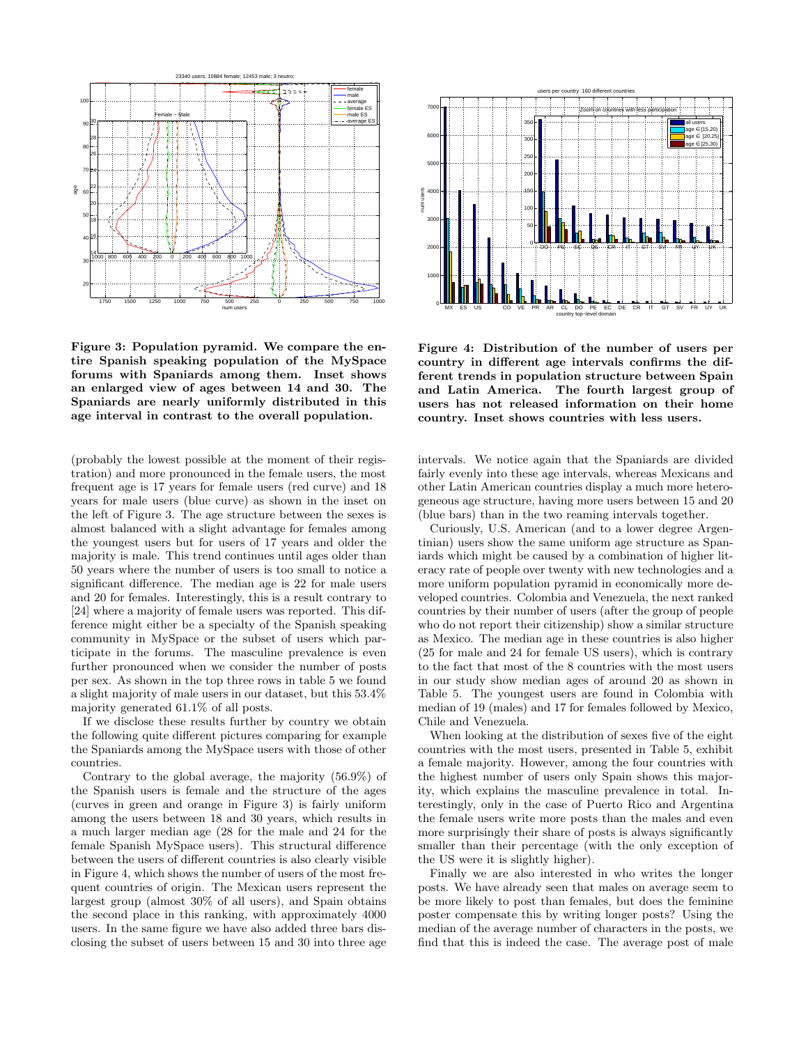

Figure 3: Population pyramid. We compare the entire Spanish speaking population of the MySpace forums with Spaniards among them. Inset shows an enlarged view of ages between 14 and 30. The Spaniards are nearly uniformly distributed in this age interval in contrast to the overall population.

(probably the lowest possible at the moment of their registration) and more pronounced in the female users, the most frequent age is 17 years for female users (red curve) and 18 years for male users (blue curve) as shown in the inset on the left of Figure 3. The age structure between the sexes is almost balanced with a slight advantage for females among the youngest users but for users of 17 years and older the majority is male. This trend continues until ages older than 50 years where the number of users is too small to notice a significant difference. The median age is 22 for male users and 20 for females. Interestingly, this is a result contrary to [24] where a majority of female users was reported. This difference might either be a specialty of the Spanish speaking community in MySpace or the subset of users which participate in the forums. The masculine prevalence is even further pronounced when we consider the number of posts per sex. As shown in the top three rows in table 5 we found a slight majority of male users in our dataset, but this 53.4% majority generated 61.1% of all posts.

If we disclose these results further by country we obtain the following quite different pictures comparing for example the Spaniards among the MySpace users with those of other countries.

Contrary to the global average, the majority (56.9%) of the Spanish users is female and the structure of the ages (curves in green and orange in Figure 3) is fairly uniform among the users between 18 and 30 years, which results in a much larger median age (28 for the male and 24 for the female Spanish MySpace users). This structural difference between the users of different countries is also clearly visible in Figure 4, which shows the number of users of the most frequent countries of origin. The Mexican users represent the largest group (almost 30% of all users), and Spain obtains the second place in this ranking, with approximately 4000 users. In the same figure we have also added three bars disclosing the subset of users between 15 and 30 into three age



Figure 4: Distribution of the number of users per country in different age intervals confirms the different trends in population structure between Spain and Latin America. The fourth largest group of users has not released information on their home country. Inset shows countries with less users.

intervals. We notice again that the Spaniards are divided fairly evenly into these age intervals, whereas Mexicans and other Latin American countries display a much more heterogeneous age structure, having more users between 15 and 20 (blue bars) than in the two reaming intervals together.

Curiously, U.S. American (and to a lower degree Argentinian) users show the same uniform age structure as Spaniards which might be caused by a combination of higher literacy rate of people over twenty with new technologies and a more uniform population pyramid in economically more developed countries. Colombia and Venezuela, the next ranked countries by their number of users (after the group of people who do not report their citizenship) show a similar structure as Mexico. The median age in these countries is also higher (25 for male and 24 for female US users), which is contrary to the fact that most of the 8 countries with the most users in our study show median ages of around 20 as shown in Table 5. The youngest users are found in Colombia with median of 19 (males) and 17 for females followed by Mexico, Chile and Venezuela.

When looking at the distribution of sexes five of the eight countries with the most users, presented in Table 5, exhibit a female majority. However, among the four countries with the highest number of users only Spain shows this majority, which explains the masculine prevalence in total. Interestingly, only in the case of Puerto Rico and Argentina the female users write more posts than the males and even more surprisingly their share of posts is always significantly smaller than their percentage (with the only exception of the US were it is slightly higher).

Finally we are also interested in who writes the longer posts. We have already seen that males on average seem to be more likely to post than females, but does the feminine poster compensate this by writing longer posts? Using the median of the average number of characters in the posts, we find that this is indeed the case. The average post of male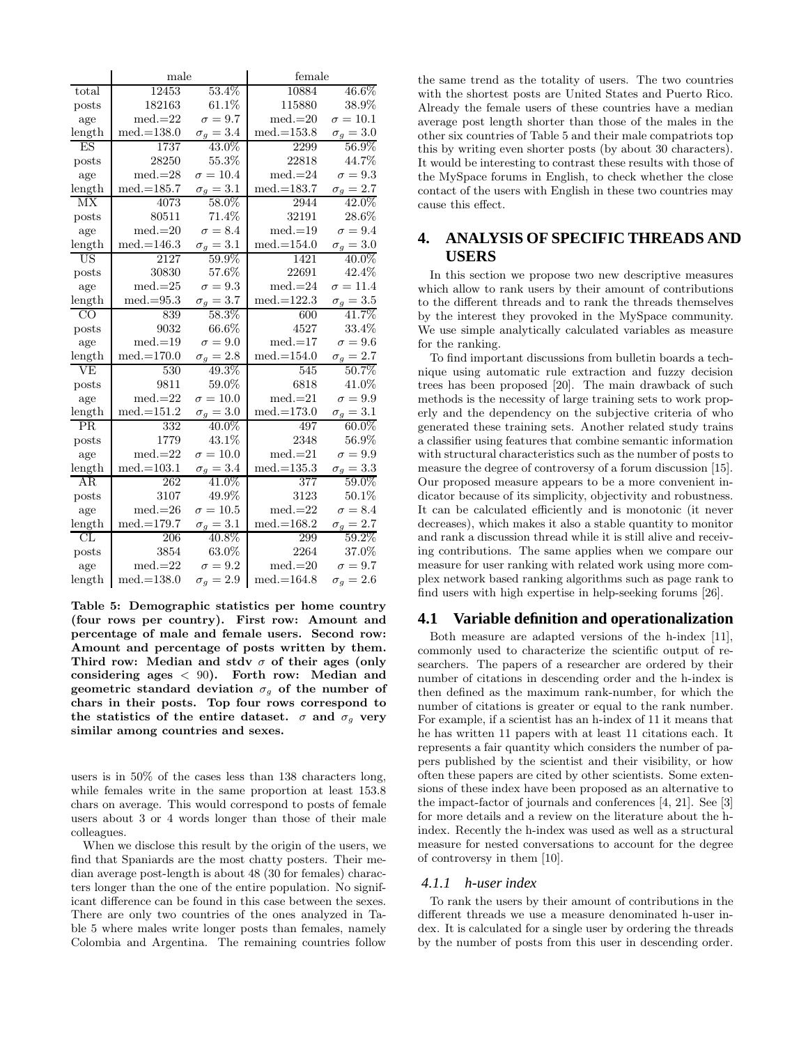|                          | male         |                  | female           |                  |  |
|--------------------------|--------------|------------------|------------------|------------------|--|
| total                    | 12453        | 53.4%            | 10884            | 46.6%            |  |
| posts                    | 182163       | 61.1%            | 115880           | 38.9%            |  |
| age                      | $med = 22$   | $\sigma = 9.7$   | $med.=20$        | $\sigma=10.1$    |  |
| length                   | $med.=138.0$ | $\sigma_g = 3.4$ | $med.=153.8$     | $\sigma_g = 3.0$ |  |
| ES                       | 1737         | 43.0%            | 2299             | 56.9%            |  |
| posts                    | 28250        | 55.3%            | 22818            | 44.7%            |  |
| age                      | $med.=28$    | $\sigma = 10.4$  | $med = 24$       | $\sigma=9.3$     |  |
| length                   | $med.=185.7$ | $\sigma_q=3.1$   | $med.=183.7$     | $\sigma_g = 2.7$ |  |
| MX                       | 4073         | 58.0%            | 2944             | $42.0\%$         |  |
| posts                    | 80511        | 71.4%            | 32191            | 28.6%            |  |
| age                      | $med.=20$    | $\sigma = 8.4$   | $med.=19$        | $\sigma = 9.4$   |  |
| length                   | $med.=146.3$ | $\sigma_g = 3.1$ | $med.=154.0$     | $\sigma_g = 3.0$ |  |
| $\overline{\mathrm{US}}$ | 2127         | 59.9%            | 1421             | $40.0\%$         |  |
| posts                    | 30830        | 57.6%            | 22691            | 42.4\%           |  |
| age                      | $med.=25$    | $\sigma = 9.3$   | $med.=24$        | $\sigma = 11.4$  |  |
| length                   | $med.=95.3$  | $\sigma_g = 3.7$ | $med.=122.3$     | $\sigma_g = 3.5$ |  |
| $\overline{C}$           | 839          | 58.3%            | 600              | 41.7%            |  |
| posts                    | 9032         | 66.6%            | 4527             | $33.4\%$         |  |
| age                      | $med.=19$    | $\sigma = 9.0$   | $med.=17$        | $\sigma = 9.6$   |  |
| length                   | $med.=170.0$ | $\sigma_q=2.8$   | $med.=154.0$     | $\sigma_q=2.7$   |  |
|                          | 530          | 49.3%            | 545              | 50.7%            |  |
| posts                    | 9811         | 59.0%            | 6818             | 41.0%            |  |
| age                      | $med.=22$    | $\sigma = 10.0$  | $med.=21$        | $\sigma = 9.9$   |  |
| length                   | $med.=151.2$ | $\sigma_q = 3.0$ | $med.=173.0$     | $\sigma_g = 3.1$ |  |
| PR                       | 332          | 40.0%            | 497              | $60.0\%$         |  |
| posts                    | 1779         | 43.1%            | 2348             | 56.9%            |  |
| age                      | $med.=22$    | $\sigma=10.0$    | $med.=21$        | $\sigma = 9.9$   |  |
| length                   | $med.=103.1$ | $\sigma_q = 3.4$ | $med.=135.3$     | $\sigma_g = 3.3$ |  |
| AR                       | 262          | 41.0%            | $\overline{377}$ | 59.0%            |  |
| posts                    | 3107         | 49.9%            | 3123             | 50.1%            |  |
| age                      | $med.=26$    | $\sigma=10.5$    | $med.=22$        | $\sigma = 8.4$   |  |
| length                   | $med.=179.7$ | $\sigma_g = 3.1$ | $med.=168.2$     | $\sigma_g = 2.7$ |  |
| CL                       | 206          | 40.8%            | 299              | 59.2%            |  |
| posts                    | 3854         | 63.0%            | 2264             | 37.0%            |  |
| age                      | $med.=22$    | $\sigma = 9.2$   | $med.=20$        | $\sigma = 9.7$   |  |
| length                   | $med.=138.0$ | $\sigma_q = 2.9$ | $med.=164.8$     | $\sigma_q = 2.6$ |  |

Table 5: Demographic statistics per home country (four rows per country). First row: Amount and percentage of male and female users. Second row: Amount and percentage of posts written by them. Third row: Median and stdv  $\sigma$  of their ages (only considering ages  $< 90$ ). Forth row: Median and geometric standard deviation  $\sigma_g$  of the number of chars in their posts. Top four rows correspond to the statistics of the entire dataset.  $\sigma$  and  $\sigma_q$  very similar among countries and sexes.

users is in 50% of the cases less than 138 characters long, while females write in the same proportion at least 153.8 chars on average. This would correspond to posts of female users about 3 or 4 words longer than those of their male colleagues.

When we disclose this result by the origin of the users, we find that Spaniards are the most chatty posters. Their median average post-length is about 48 (30 for females) characters longer than the one of the entire population. No significant difference can be found in this case between the sexes. There are only two countries of the ones analyzed in Table 5 where males write longer posts than females, namely Colombia and Argentina. The remaining countries follow the same trend as the totality of users. The two countries with the shortest posts are United States and Puerto Rico. Already the female users of these countries have a median average post length shorter than those of the males in the other six countries of Table 5 and their male compatriots top this by writing even shorter posts (by about 30 characters). It would be interesting to contrast these results with those of the MySpace forums in English, to check whether the close contact of the users with English in these two countries may cause this effect.

# **4. ANALYSIS OF SPECIFIC THREADS AND USERS**

In this section we propose two new descriptive measures which allow to rank users by their amount of contributions to the different threads and to rank the threads themselves by the interest they provoked in the MySpace community. We use simple analytically calculated variables as measure for the ranking.

To find important discussions from bulletin boards a technique using automatic rule extraction and fuzzy decision trees has been proposed [20]. The main drawback of such methods is the necessity of large training sets to work properly and the dependency on the subjective criteria of who generated these training sets. Another related study trains a classifier using features that combine semantic information with structural characteristics such as the number of posts to measure the degree of controversy of a forum discussion [15]. Our proposed measure appears to be a more convenient indicator because of its simplicity, objectivity and robustness. It can be calculated efficiently and is monotonic (it never decreases), which makes it also a stable quantity to monitor and rank a discussion thread while it is still alive and receiving contributions. The same applies when we compare our measure for user ranking with related work using more complex network based ranking algorithms such as page rank to find users with high expertise in help-seeking forums [26].

## **4.1 Variable definition and operationalization**

Both measure are adapted versions of the h-index [11], commonly used to characterize the scientific output of researchers. The papers of a researcher are ordered by their number of citations in descending order and the h-index is then defined as the maximum rank-number, for which the number of citations is greater or equal to the rank number. For example, if a scientist has an h-index of 11 it means that he has written 11 papers with at least 11 citations each. It represents a fair quantity which considers the number of papers published by the scientist and their visibility, or how often these papers are cited by other scientists. Some extensions of these index have been proposed as an alternative to the impact-factor of journals and conferences [4, 21]. See [3] for more details and a review on the literature about the hindex. Recently the h-index was used as well as a structural measure for nested conversations to account for the degree of controversy in them [10].

#### *4.1.1 h-user index*

To rank the users by their amount of contributions in the different threads we use a measure denominated h-user index. It is calculated for a single user by ordering the threads by the number of posts from this user in descending order.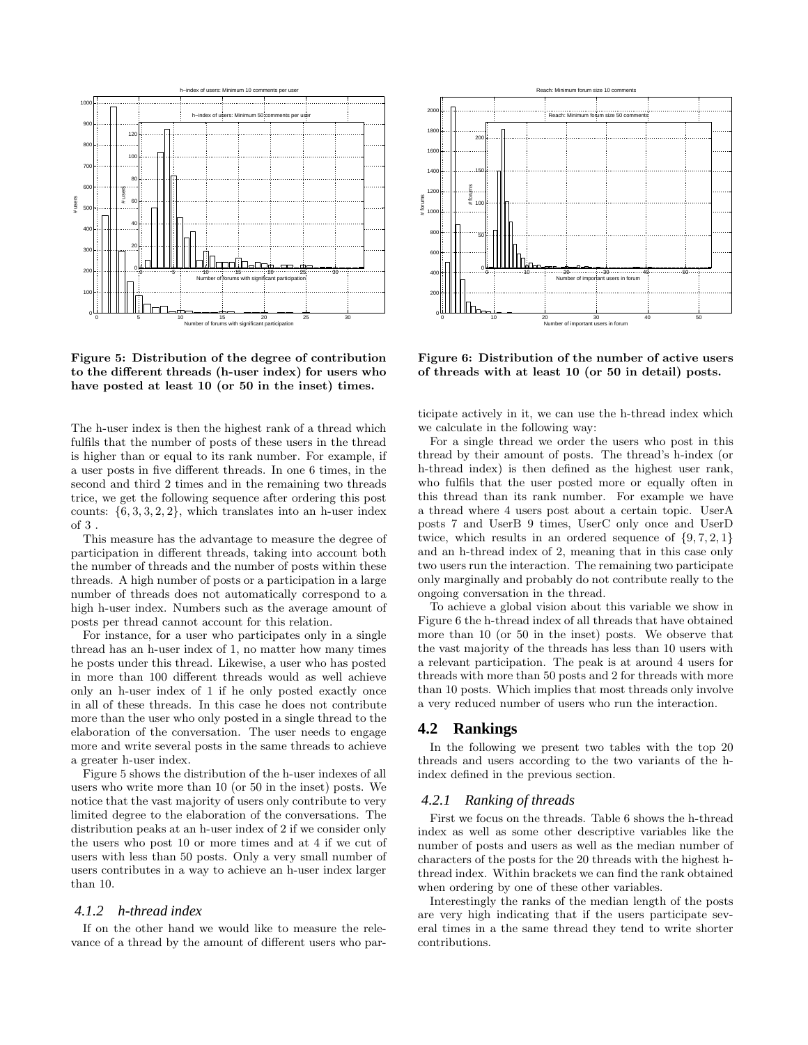

Figure 5: Distribution of the degree of contribution to the different threads (h-user index) for users who have posted at least 10 (or 50 in the inset) times.

The h-user index is then the highest rank of a thread which fulfils that the number of posts of these users in the thread is higher than or equal to its rank number. For example, if a user posts in five different threads. In one 6 times, in the second and third 2 times and in the remaining two threads trice, we get the following sequence after ordering this post counts:  $\{6, 3, 3, 2, 2\}$ , which translates into an h-user index of 3 .

This measure has the advantage to measure the degree of participation in different threads, taking into account both the number of threads and the number of posts within these threads. A high number of posts or a participation in a large number of threads does not automatically correspond to a high h-user index. Numbers such as the average amount of posts per thread cannot account for this relation.

For instance, for a user who participates only in a single thread has an h-user index of 1, no matter how many times he posts under this thread. Likewise, a user who has posted in more than 100 different threads would as well achieve only an h-user index of 1 if he only posted exactly once in all of these threads. In this case he does not contribute more than the user who only posted in a single thread to the elaboration of the conversation. The user needs to engage more and write several posts in the same threads to achieve a greater h-user index.

Figure 5 shows the distribution of the h-user indexes of all users who write more than 10 (or 50 in the inset) posts. We notice that the vast majority of users only contribute to very limited degree to the elaboration of the conversations. The distribution peaks at an h-user index of 2 if we consider only the users who post 10 or more times and at 4 if we cut of users with less than 50 posts. Only a very small number of users contributes in a way to achieve an h-user index larger than 10.

#### *4.1.2 h-thread index*

If on the other hand we would like to measure the relevance of a thread by the amount of different users who par-



Figure 6: Distribution of the number of active users of threads with at least 10 (or 50 in detail) posts.

ticipate actively in it, we can use the h-thread index which we calculate in the following way:

For a single thread we order the users who post in this thread by their amount of posts. The thread's h-index (or h-thread index) is then defined as the highest user rank, who fulfils that the user posted more or equally often in this thread than its rank number. For example we have a thread where 4 users post about a certain topic. UserA posts 7 and UserB 9 times, UserC only once and UserD twice, which results in an ordered sequence of  $\{9, 7, 2, 1\}$ and an h-thread index of 2, meaning that in this case only two users run the interaction. The remaining two participate only marginally and probably do not contribute really to the ongoing conversation in the thread.

To achieve a global vision about this variable we show in Figure 6 the h-thread index of all threads that have obtained more than 10 (or 50 in the inset) posts. We observe that the vast majority of the threads has less than 10 users with a relevant participation. The peak is at around 4 users for threads with more than 50 posts and 2 for threads with more than 10 posts. Which implies that most threads only involve a very reduced number of users who run the interaction.

## **4.2 Rankings**

In the following we present two tables with the top 20 threads and users according to the two variants of the hindex defined in the previous section.

#### *4.2.1 Ranking of threads*

First we focus on the threads. Table 6 shows the h-thread index as well as some other descriptive variables like the number of posts and users as well as the median number of characters of the posts for the 20 threads with the highest hthread index. Within brackets we can find the rank obtained when ordering by one of these other variables.

Interestingly the ranks of the median length of the posts are very high indicating that if the users participate several times in a the same thread they tend to write shorter contributions.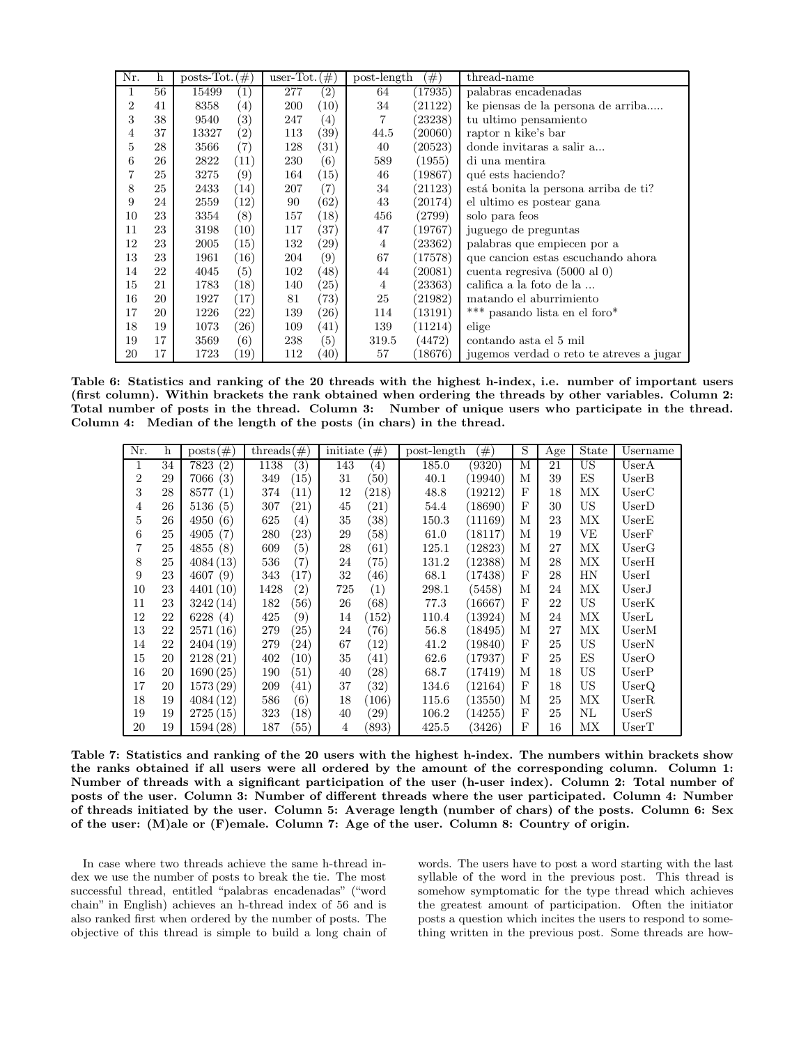| Nr.            | $\mathbf h$ | posts-Tot. | (#)                | user-Tot. $(\#)$ |                    | post-length    | $^{(\#)}$ | thread-name                             |
|----------------|-------------|------------|--------------------|------------------|--------------------|----------------|-----------|-----------------------------------------|
| 1              | 56          | 15499      | $\left( 1\right)$  | 277              | $\overline{(2)}$   | 64             | (17935)   | palabras encadenadas                    |
| $\overline{2}$ | 41          | 8358       | $\left(4\right)$   | 200              | (10)               | 34             | (21122)   | ke piensas de la persona de arriba      |
| 3              | 38          | 9540       | $\left( 3\right)$  | 247              | $\left( 4\right)$  | 7              | (23238)   | tu ultimo pensamiento                   |
| 4              | 37          | 13327      | (2)                | 113              | $^{(39)}$          | 44.5           | (20060)   | raptor n kike's bar                     |
| 5              | 28          | 3566       | (7)                | 128              | (31)               | 40             | (20523)   | donde invitaras a salir a               |
| 6              | 26          | 2822       | (11)               | 230              | (6)                | 589            | (1955)    | di una mentira                          |
| 7              | 25          | 3275       | (9)                | 164              | (15)               | 46             | (19867)   | qué ests haciendo?                      |
| 8              | 25          | 2433       | (14)               | 207              | (7)                | 34             | (21123)   | está bonita la persona arriba de ti?    |
| 9              | 24          | 2559       | (12)               | 90               | (62)               | 43             | (20174)   | el ultimo es postear gana               |
| 10             | 23          | 3354       | (8)                | 157              | (18)               | 456            | (2799)    | solo para feos                          |
| 11             | 23          | 3198       | (10)               | 117              | $^{(37)}$          | 47             | (19767)   | juguego de preguntas                    |
| 12             | 23          | 2005       | (15)               | 132              | (29)               | $\overline{4}$ | (23362)   | palabras que empiecen por a             |
| 13             | 23          | 1961       | (16)               | 204              | (9)                | 67             | (17578)   | que cancion estas escuchando ahora      |
| 14             | 22          | 4045       | (5)                | 102              | (48)               | 44             | (20081)   | cuenta regresiva (5000 al 0)            |
| 15             | 21          | 1783       | (18)               | 140              | $\left( 25\right)$ | 4              | (23363)   | califica a la foto de la                |
| 16             | 20          | 1927       | (17)               | 81               | (73)               | 25             | (21982)   | matando el aburrimiento                 |
| 17             | 20          | 1226       | $\left( 22\right)$ | 139              | (26)               | 114            | (13191)   | *** pasando lista en el foro*           |
| 18             | 19          | 1073       | (26)               | 109              | (41)               | 139            | (11214)   | elige                                   |
| 19             | 17          | 3569       | (6)                | 238              | (5)                | 319.5          | (4472)    | contando asta el 5 mil                  |
| 20             | 17          | 1723       | (19)               | 112              | (40)               | 57             | (18676)   | jugemos verdado reto te atreves a jugar |

Table 6: Statistics and ranking of the 20 threads with the highest h-index, i.e. number of important users (first column). Within brackets the rank obtained when ordering the threads by other variables. Column 2: Total number of posts in the thread. Column 3: Number of unique users who participate in the thread. Column 4: Median of the length of the posts (in chars) in the thread.

| Nr. | h  | $\text{posts}(\#)$ | threads $(\#)$            | <i>initiate</i><br>$^{(\#)}$ | post-length<br>$^{(\#)}$ | S          | Age | State | Username |
|-----|----|--------------------|---------------------------|------------------------------|--------------------------|------------|-----|-------|----------|
| 1   | 34 | 7823<br>(2)        | 1138<br>$\left( 3\right)$ | 143<br>$\left( 4\right)$     | 185.0<br>(9320)          | M          | 21  | US    | UserA    |
| 2   | 29 | 7066(3)            | (15)<br>349               | (50)<br>31                   | (19940)<br>40.1          | М          | 39  | ES    | UserB    |
| 3   | 28 | (1)<br>8577        | (11)<br>374               | (218)<br>12                  | (19212)<br>48.8          | $_{\rm F}$ | 18  | МX    | UserC    |
| 4   | 26 | 5136(5)            | (21)<br>307               | 45<br>(21)                   | (18690)<br>54.4          | $_{\rm F}$ | 30  | US    | UserD    |
| 5   | 26 | 4950(6)            | (4)<br>625                | 35<br>(38)                   | 150.3<br>(11169)         | М          | 23  | MX    | UserE    |
| 6   | 25 | (7)<br>4905        | $\left( 23\right)$<br>280 | 29<br>(58)                   | (18117)<br>61.0          | М          | 19  | VЕ    | UserF    |
| 7   | 25 | 4855(8)            | (5)<br>609                | 28<br>(61)                   | (12823)<br>125.1         | М          | 27  | MX    | UserG    |
| 8   | 25 | 4084(13)           | (7)<br>536                | (75)<br>24                   | (12388)<br>131.2         | М          | 28  | МX    | UserH    |
| 9   | 23 | 4607(9)            | (17)<br>343               | (46)<br>32                   | (17438)<br>68.1          | $_{\rm F}$ | 28  | HN    | UserI    |
| 10  | 23 | 4401(10)           | (2)<br>1428               | 725<br>$\left( 1\right)$     | (5458)<br>298.1          | М          | 24  | МX    | UserJ    |
| 11  | 23 | 3242(14)           | (56)<br>182               | (68)<br>26                   | (16667)<br>77.3          | $_{\rm F}$ | 22  | US    | UserK    |
| 12  | 22 | 6228(4)            | (9)<br>425                | (152)<br>14                  | (13924)<br>110.4         | М          | 24  | МX    | UserL    |
| 13  | 22 | 2571(16)           | $\left( 25\right)$<br>279 | (76)<br>24                   | (18495)<br>56.8          | М          | 27  | MX    | UserM    |
| 14  | 22 | 2404(19)           | (24)<br>279               | $\left(12\right)$<br>67      | (19840)<br>41.2          | $_{\rm F}$ | 25  | US    | UserN    |
| 15  | 20 | 2128(21)           | 402<br>(10)               | 35<br>(41)                   | (17937)<br>62.6          | $_{\rm F}$ | 25  | ES    | UserO    |
| 16  | 20 | 1690(25)           | $\left( 51\right)$<br>190 | 40<br>$\left( 28\right)$     | 68.7<br>(17419)          | М          | 18  | US    | UserP    |
| 17  | 20 | 1573(29)           | (41)<br>209               | 37<br>(32)                   | (12164)<br>134.6         | $_{\rm F}$ | 18  | US    | UserQ    |
| 18  | 19 | 4084(12)           | (6)<br>586                | 18<br>(106)                  | (13550)<br>115.6         | М          | 25  | MX    | UserR    |
| 19  | 19 | 2725(15)           | (18)<br>323               | (29)<br>40                   | (14255)<br>106.2         | $_{\rm F}$ | 25  | NL    | UserS    |
| 20  | 19 | 1594(28)           | $\left( 55\right)$<br>187 | (893)<br>$\overline{4}$      | 425.5<br>(3426)          | F          | 16  | МX    | UserT    |

Table 7: Statistics and ranking of the 20 users with the highest h-index. The numbers within brackets show the ranks obtained if all users were all ordered by the amount of the corresponding column. Column 1: Number of threads with a significant participation of the user (h-user index). Column 2: Total number of posts of the user. Column 3: Number of different threads where the user participated. Column 4: Number of threads initiated by the user. Column 5: Average length (number of chars) of the posts. Column 6: Sex of the user: (M)ale or (F)emale. Column 7: Age of the user. Column 8: Country of origin.

In case where two threads achieve the same h-thread index we use the number of posts to break the tie. The most successful thread, entitled "palabras encadenadas" ("word chain" in English) achieves an h-thread index of 56 and is also ranked first when ordered by the number of posts. The objective of this thread is simple to build a long chain of words. The users have to post a word starting with the last syllable of the word in the previous post. This thread is somehow symptomatic for the type thread which achieves the greatest amount of participation. Often the initiator posts a question which incites the users to respond to something written in the previous post. Some threads are how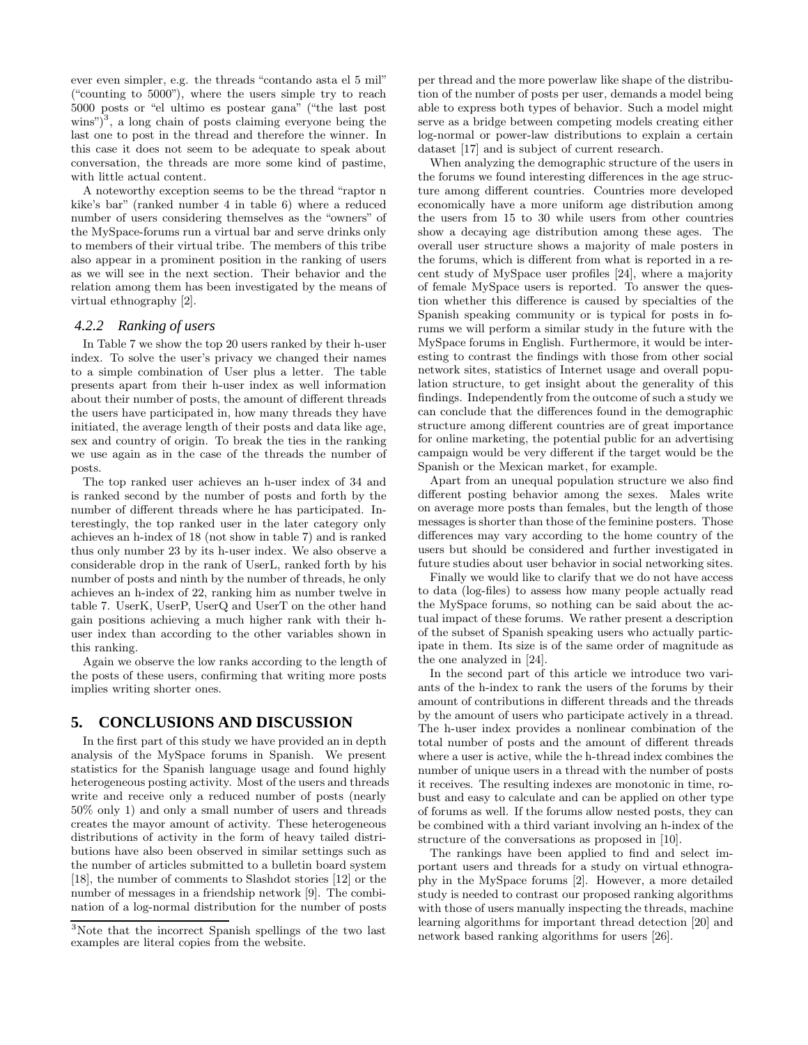ever even simpler, e.g. the threads "contando asta el 5 mil" ("counting to 5000"), where the users simple try to reach 5000 posts or "el ultimo es postear gana" ("the last post  $\text{wins}^3$ , a long chain of posts claiming everyone being the last one to post in the thread and therefore the winner. In this case it does not seem to be adequate to speak about conversation, the threads are more some kind of pastime, with little actual content.

A noteworthy exception seems to be the thread "raptor n kike's bar" (ranked number 4 in table 6) where a reduced number of users considering themselves as the "owners" of the MySpace-forums run a virtual bar and serve drinks only to members of their virtual tribe. The members of this tribe also appear in a prominent position in the ranking of users as we will see in the next section. Their behavior and the relation among them has been investigated by the means of virtual ethnography [2].

#### *4.2.2 Ranking of users*

In Table 7 we show the top 20 users ranked by their h-user index. To solve the user's privacy we changed their names to a simple combination of User plus a letter. The table presents apart from their h-user index as well information about their number of posts, the amount of different threads the users have participated in, how many threads they have initiated, the average length of their posts and data like age, sex and country of origin. To break the ties in the ranking we use again as in the case of the threads the number of posts.

The top ranked user achieves an h-user index of 34 and is ranked second by the number of posts and forth by the number of different threads where he has participated. Interestingly, the top ranked user in the later category only achieves an h-index of 18 (not show in table 7) and is ranked thus only number 23 by its h-user index. We also observe a considerable drop in the rank of UserL, ranked forth by his number of posts and ninth by the number of threads, he only achieves an h-index of 22, ranking him as number twelve in table 7. UserK, UserP, UserQ and UserT on the other hand gain positions achieving a much higher rank with their huser index than according to the other variables shown in this ranking.

Again we observe the low ranks according to the length of the posts of these users, confirming that writing more posts implies writing shorter ones.

#### **5. CONCLUSIONS AND DISCUSSION**

In the first part of this study we have provided an in depth analysis of the MySpace forums in Spanish. We present statistics for the Spanish language usage and found highly heterogeneous posting activity. Most of the users and threads write and receive only a reduced number of posts (nearly 50% only 1) and only a small number of users and threads creates the mayor amount of activity. These heterogeneous distributions of activity in the form of heavy tailed distributions have also been observed in similar settings such as the number of articles submitted to a bulletin board system [18], the number of comments to Slashdot stories [12] or the number of messages in a friendship network [9]. The combination of a log-normal distribution for the number of posts

per thread and the more powerlaw like shape of the distribution of the number of posts per user, demands a model being able to express both types of behavior. Such a model might serve as a bridge between competing models creating either log-normal or power-law distributions to explain a certain dataset [17] and is subject of current research.

When analyzing the demographic structure of the users in the forums we found interesting differences in the age structure among different countries. Countries more developed economically have a more uniform age distribution among the users from 15 to 30 while users from other countries show a decaying age distribution among these ages. The overall user structure shows a majority of male posters in the forums, which is different from what is reported in a recent study of MySpace user profiles [24], where a majority of female MySpace users is reported. To answer the question whether this difference is caused by specialties of the Spanish speaking community or is typical for posts in forums we will perform a similar study in the future with the MySpace forums in English. Furthermore, it would be interesting to contrast the findings with those from other social network sites, statistics of Internet usage and overall population structure, to get insight about the generality of this findings. Independently from the outcome of such a study we can conclude that the differences found in the demographic structure among different countries are of great importance for online marketing, the potential public for an advertising campaign would be very different if the target would be the Spanish or the Mexican market, for example.

Apart from an unequal population structure we also find different posting behavior among the sexes. Males write on average more posts than females, but the length of those messages is shorter than those of the feminine posters. Those differences may vary according to the home country of the users but should be considered and further investigated in future studies about user behavior in social networking sites.

Finally we would like to clarify that we do not have access to data (log-files) to assess how many people actually read the MySpace forums, so nothing can be said about the actual impact of these forums. We rather present a description of the subset of Spanish speaking users who actually participate in them. Its size is of the same order of magnitude as the one analyzed in [24].

In the second part of this article we introduce two variants of the h-index to rank the users of the forums by their amount of contributions in different threads and the threads by the amount of users who participate actively in a thread. The h-user index provides a nonlinear combination of the total number of posts and the amount of different threads where a user is active, while the h-thread index combines the number of unique users in a thread with the number of posts it receives. The resulting indexes are monotonic in time, robust and easy to calculate and can be applied on other type of forums as well. If the forums allow nested posts, they can be combined with a third variant involving an h-index of the structure of the conversations as proposed in [10].

The rankings have been applied to find and select important users and threads for a study on virtual ethnography in the MySpace forums [2]. However, a more detailed study is needed to contrast our proposed ranking algorithms with those of users manually inspecting the threads, machine learning algorithms for important thread detection [20] and network based ranking algorithms for users [26].

<sup>3</sup>Note that the incorrect Spanish spellings of the two last examples are literal copies from the website.